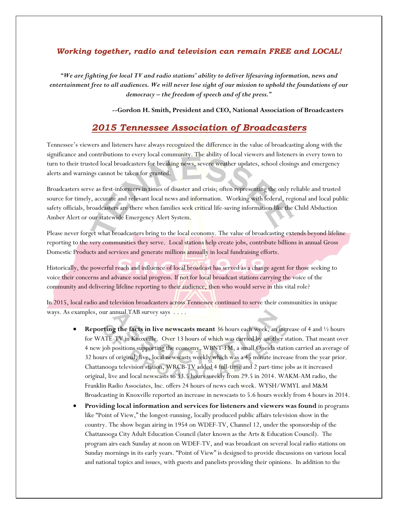## *Working together, radio and television can remain FREE and LOCAL!*

*"We are fighting for local TV and radio stations' ability to deliver lifesaving information, news and entertainment free to all audiences. We will never lose sight of our mission to uphold the foundations of our democracy – the freedom of speech and of the press."*

 *--***Gordon H. Smith, President and CEO, National Association of Broadcasters**

## *2015 Tennessee Association of Broadcasters*

Tennessee's viewers and listeners have always recognized the difference in the value of broadcasting along with the significance and contributions to every local community. The ability of local viewers and listeners in every town to turn to their trusted local broadcasters for breaking news, severe weather updates, school closings and emergency alerts and warnings cannot be taken for granted.

Broadcasters serve as first-informers in times of disaster and crisis; often representing the only reliable and trusted source for timely, accurate and relevant local news and information. Working with federal, regional and local public safety officials, broadcasters are there when families seek critical life-saving information like the Child Abduction Amber Alert or our statewide Emergency Alert System.

Please never forget what broadcasters bring to the local economy. The value of broadcasting extends beyond lifeline reporting to the very communities they serve. Local stations help create jobs, contribute billions in annual Gross Domestic Products and services and generate millions annually in local fundraising efforts.

Historically, the powerful reach and influence of local broadcast has served as a change agent for those seeking to voice their concerns and advance social progress. If not for local broadcast stations carrying the voice of the community and delivering lifeline reporting to their audience, then who would serve in this vital role?

In 2015, local radio and television broadcasters across Tennessee continued to serve their communities in unique ways. As examples, our annual TAB survey says . . . .

- **Reporting the facts in live newscasts meant** 36 hours each week, an increase of 4 and ½ hours for WATE-TV in Knoxville. Over 13 hours of which was carried by another station. That meant over 4 new job positions supporting the economy. WBNT-FM, a small Oneida station carried an average of 32 hours of original, live, local newscasts weekly which was a 45 minute increase from the year prior. Chattanooga television station, WRCB-TV added 4 full-time and 2 part-time jobs as it increased original, live and local newscasts to 33.5 hours weekly from 29.5 in 2014. WAKM-AM radio, the Franklin Radio Associates, Inc. offers 24 hours of news each week. WYSH/WMYL and M&M Broadcasting in Knoxville reported an increase in newscasts to 5.6 hours weekly from 4 hours in 2014.
- **Providing local information and services for listeners and viewers was found** in programs like "Point of View," the longest-running, locally produced public affairs television show in the country. The show began airing in 1954 on WDEF-TV, Channel 12, under the sponsorship of the Chattanooga City Adult Education Council (later known as the Arts & Education Council). The program airs each Sunday at noon on WDEF-TV, and was broadcast on several local radio stations on Sunday mornings in its early years. "Point of View" is designed to provide discussions on various local and national topics and issues, with guests and panelists providing their opinions. In addition to the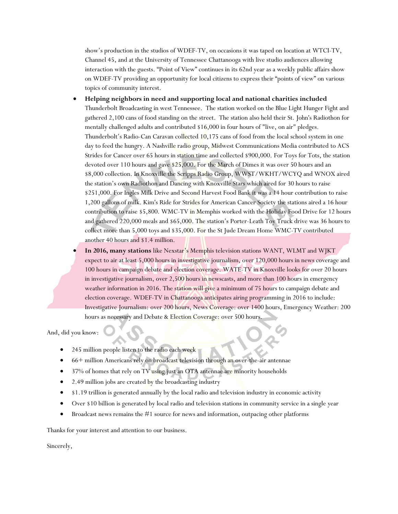show's production in the studios of WDEF-TV, on occasions it was taped on location at WTCI-TV, Channel 45, and at the University of Tennessee Chattanooga with live studio audiences allowing interaction with the guests. "Point of View" continues in its 62nd year as a weekly public affairs show on WDEF-TV providing an opportunity for local citizens to express their "points of view" on various topics of community interest.

- **Helping neighbors in need and supporting local and national charities included**  Thunderbolt Broadcasting in west Tennessee. The station worked on the Blue Light Hunger Fight and gathered 2,100 cans of food standing on the street. The station also held their St. John's Radiothon for mentally challenged adults and contributed \$16,000 in four hours of "live, on air" pledges. Thunderbolt's Radio-Can Caravan collected 10,175 cans of food from the local school system in one day to feed the hungry. A Nashville radio group, Midwest Communications Media contributed to ACS Strides for Cancer over 65 hours in station time and collected \$900,000. For Toys for Tots, the station devoted over 110 hours and gave \$25,000. For the March of Dimes it was over 50 hours and an \$8,000 collection. In Knoxville the Scripps Radio Group, WWST/WKHT/WCYQ and WNOX aired the station's own Radiothon and Dancing with Knoxville Stars which aired for 30 hours to raise \$251,000. For Ingles Milk Drive and Second Harvest Food Bank it was a 14 hour contribution to raise 1,200 gallons of milk. Kim's Ride for Strides for American Cancer Society the stations aired a 16 hour contribution to raise \$5,800. WMC-TV in Memphis worked with the Holiday Food Drive for 12 hours and gathered 220,000 meals and \$65,000. The station's Porter-Leath Toy Truck drive was 36 hours to collect more than 5,000 toys and \$35,000. For the St Jude Dream Home WMC-TV contributed another 40 hours and \$1.4 million.
- **In 2016, many stations** like Nexstar's Memphis television stations WANT, WLMT and WJKT expect to air at least 5,000 hours in investigative journalism, over 120,000 hours in news coverage and 100 hours in campaign debate and election coverage. WATE-TV in Knoxville looks for over 20 hours in investigative journalism, over 2,500 hours in newscasts, and more than 100 hours in emergency weather information in 2016. The station will give a minimum of 75 hours to campaign debate and election coverage. WDEF-TV in Chattanooga anticipates airing programming in 2016 to include: Investigative Journalism: over 200 hours, News Coverage: over 1400 hours, Emergency Weather: 200 hours as necessary and Debate & Election Coverage: over 500 hours.

And, did you know:

- 245 million people listen to the radio each week
- <sup>6</sup> 66+ million Americans rely on broadcast television through an over-the-air antennae
- 37% of homes that rely on TV using just an OTA antennae are minority households
- 2.49 million jobs are created by the broadcasting industry
- \$1.19 trillion is generated annually by the local radio and television industry in economic activity
- Over \$10 billion is generated by local radio and television stations in community service in a single year
- $\bullet$  Broadcast news remains the #1 source for news and information, outpacing other platforms

Thanks for your interest and attention to our business.

Sincerely,